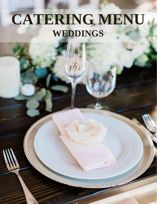# **CATERING MENU WEDDINGS**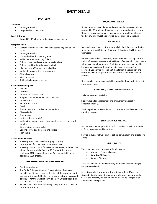## **EVENT SETUP**

#### **Ceremony**

- White garden chairs
- Draped table in the gazebo

#### **Guest Entrance**

• Draped 6' – 8' tables for gifts, displays, and sign-in

#### **Reception Room**

- Custom sweetheart table with upholstered king and queen chairs
- White garden chairs
- 5' round tables that seat 8 guests
- Table linens (white / ivory / black)
- Colored table overlays (based on availability)
- Colored napkins (based on availability)
- High and low 36" round cocktail tables
- White dinnerware & silver silverware
- Clear glassware
- Water pitchers
- Tableside champagne service

#### **Included Upon Request:**

- Podium
- Umbrellas
- White tulle covered pillars
- Shepherd hooks with tulle down the aisle
- Wine barrels
- Heaters and firepit
- **Easels**
- Square mirror or round wood centerpiece
- Glass cylinder
- Square vase
- Lanterns (black / white)
- Votives (up to 4 per table) host provides battery operated candles
- Gold or silver charger plates
- Candy Bar: various glass jars and scoops
- High chairs

#### **Enhancement Options:**

- Specialty linen price based on supply company.
- Aisle Runner: \$75 per 75 sq. in. runner canvas
- Specialty transportation for ceremony entrance, option of the Motley Coupe Model A Car or a 29 Double A Truck at an additional \$100 charge. Horse and Carriage available at an additional \$500 charge.

## **OTHER BENEFITS FOR THE WEDDING PARTY**

- On-site coordinator
- The Bridal Suite and Groom's Private Meeting Room are available for (4) hours prior to the start of the ceremony until the end of the event. The host is welcome to bring snacks and beverages for the wedding party to enjoy. Outside trash bins available for self cleanup.
- Mobile transportation for wedding party from Bridal Suite to ceremony entrance.

## **FOOD AND BEVERAGE**

Hors d'oeuvres, salad, dinner and nonalcoholic beverages will be provided by Monteleone Meadows and consumed on the premises. Desserts, candy and/or party favors may be brought in. All other food of any kind must be approved by Monteleone Meadows.

## **BAR SERVICE**

Bar service provided. Host to supply all alcoholic beverages, limited to the following: (2) Beers, (2) Wines, (2) Specialty Cocktails and (1) Champagne.

Bar service includes a bartender, plasticware, cocktail napkins, ice, and a refrigerated kegerator with (2) taps. If you would like to have a full service bar with a variety of spirits and beverages, an outside licensed bar service with proof of liability coverage must be provided. Bar Service will begin at the start of the reception and conclude 30 minutes prior to the end of the event. Last call is at 9:30pm.

Host supplied champagne and cider served tableside prior to guest entrance or toast.

#### **REHEARSAL, MENU TASTINGS & PHOTOS**

Full menu tastings available.

Site available for engagement and anniversary photos by appointment only.

Wedding rehearsal available for (2) hours with an officiate or staff member present.

#### **SERVICE CHARGE AND TAX**

An 20% Service Charge and 8% California Sales Tax will be added to all food, beverage, and labor fees.

Service includes full wait staff to set up, serve, clear, and breakdown event.

#### **VENUE POLICY**

There is a minimum guest count for all events.

- Monday Friday: 50 guests
- Saturday: 100 guests
- Sunday: 75 guests

Site is available to be booked for (4) hours on weekdays and (6) hours on weekends.

Reception and all outdoor music must conclude at 10pm per Riverside County Noise Ordinance and all guests must promptly vacate the property. Any additional hours will be charged at an additional \$1,000 per hour.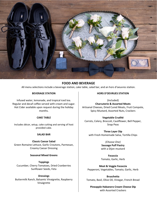

# **FOOD AND BEVERAGE**

All menu selections include a beverage station, cake table, salad bar, and an hors d'oeuvres station.

## **BEVERAGE STATION**

Infused water, lemonade, and tropical iced tea. Regular and decaf coffee served with cream and sugar. Hot Cider available upon request during the holiday months.

## **CAKE TABLE**

Includes décor, setup, cake cutting and serving of host provided cake.

## **SALAD BAR**

**Classic Caesar Salad** Green Romaine Lettuce, Garlic Croutons, Parmesan, Creamy Caesar Dressing

## **Seasonal Mixed Greens**

**Toppings** Cucumber, Cherry Tomatoes, Dried Cranberries Sunflower Seeds, Feta

**Dressings** Buttermilk Ranch, Balsamic Vinaigrette, Raspberry Vinaigrette

## **HORS D'OEVRUES STATION**

(Included) **Charcuterie & Assorted Meats** Artisanal Cheeses, Dried Cured Meats, Fruit Compote, Spicy Mustard, Assorted Nuts, Crackers

## **Vegetable Crudité**

Carrots, Celery, Broccoli, Cauliflower, Bell Pepper, Snap Peas

**Three Layer Dip**  with Fresh Homemade Salsa, Tortilla Chips

> *(Choose One)*  **Sausage Puff Pastry**  with a Dijon mustard

> **Focaccia**  Tomato, Garlic, Herb

**Meat & Veggie Focaccia**  Pepperoni, Vegetables, Tomato, Garlic, Herb

**Bruschetta** Tomato, Basil, Olive Oil, Vinegar, French Bread

**Pineapple Habanero Cream Cheese Dip**  with Assorted Crackers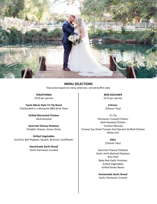

**MENU SELECTIONS** Final price based on menu selection, served buffet style.

**TRADITIONAL** \$110 per person

**Santa Maria Style Tri-Tip Roast** Charbroiled in a Mesquite BBQ Brick Oven

> **Grilled Marinated Chicken** Herb Roasted

**Gourmet Cheesy Potatoes**  Cheddar Cheese, Green Onion

**Grilled Vegetables**  Zucchini, Bell Peppers, Squash, Broccoli, Cauliflower

> **Homemade Garlic Bread**  Garlic Parmesan Crusted

**BON DEJEUNER** \$115 per person

**Entrees:**  *(Choose Two)*

Tri-Tip Parmesan Crusted Chicken Herb Roasted Chicken Chicken Marsala Creamy Sun Dried Tomato And Spinach Stuffed Chicken White Fish

> **Sides** *(Choose Two)*

Gourmet Cheesy Potatoes Garlic Herb Mashed Potatoes Rice Pilaf Baby Red Garlic Potatoes Grilled Vegetables Grilled Green Beans

**Homemade Garlic Bread**  Garlic Parmesan Crusted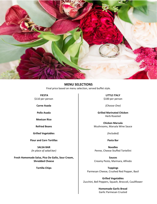

# **MENU SELECTIONS**

Final price based on menu selection, served buffet style.

**FIESTA** \$110 per person

**Carne Asada**

**Pollo Asada** 

**Mexican Rice** 

**Refried Beans** 

**Grilled Vegetables** 

**Flour and Corn Tortillas** 

**SALSA BAR** *(In place of salad bar)* 

**Fresh Homemade Salsa, Pico De Gallo, Sour Cream, Shredded Cheese**

**Tortilla Chips** 

**LITTLE ITALY**  \$100 per person

*(Choose One)*

**Grilled Marinated Chicken** Herb Roasted

**Chicken Marsala**  Mushrooms, Marsala Wine Sauce

*(Included)*

**Pasta Bar** 

**Noodles**  Penne, Cheese Stuffed Tortellini

**Sauces** Creamy Pesto, Marinara, Alfredo

**Toppings**  Parmesan Cheese, Crushed Red Pepper, Basil

**Grilled Vegetables**  Zucchini, Bell Peppers, Squash, Broccoli, Cauliflower

> **Homemade Garlic Bread**  Garlic Parmesan Crusted